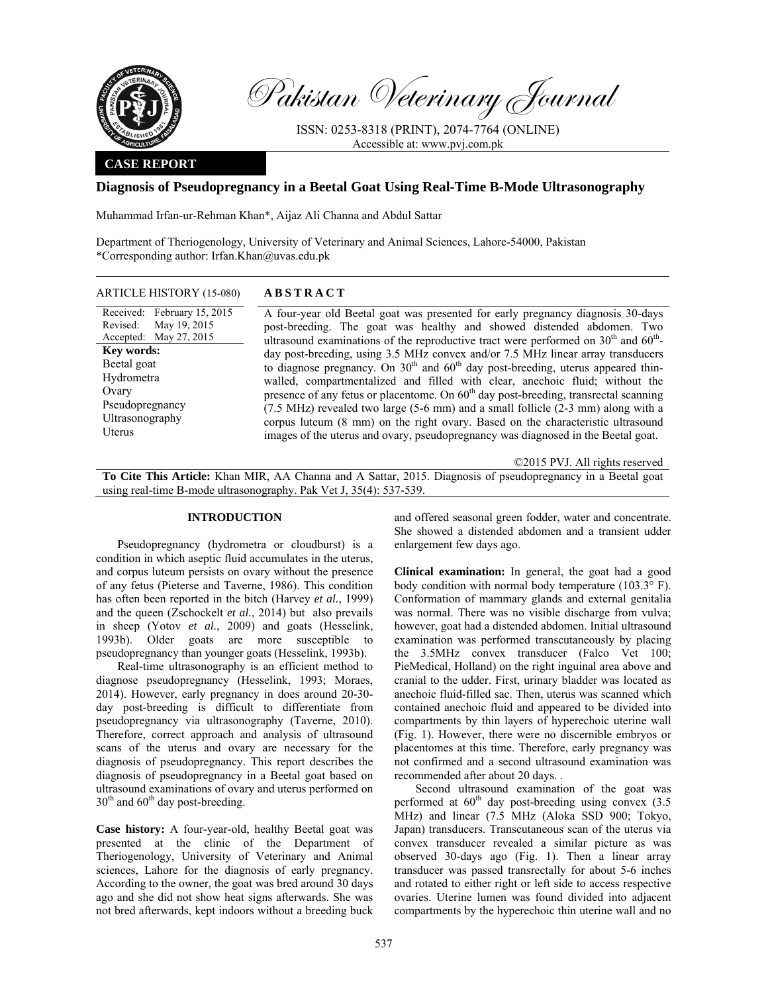

Pakistan Veterinary Journal

ISSN: 0253-8318 (PRINT), 2074-7764 (ONLINE) Accessible at: www.pvj.com.pk

## **CASE REPORT**

# **Diagnosis of Pseudopregnancy in a Beetal Goat Using Real-Time B-Mode Ultrasonography**

Muhammad Irfan-ur-Rehman Khan\*, Aijaz Ali Channa and Abdul Sattar

Department of Theriogenology, University of Veterinary and Animal Sciences, Lahore-54000, Pakistan \*Corresponding author: Irfan.Khan@uvas.edu.pk

### ARTICLE HISTORY (15-080) **ABSTRACT**

Received: February 15, 2015 Revised: Accepted: May 27, 2015 May 19, 2015 **Key words:**  Beetal goat Hydrometra **Ovary** Pseudopregnancy Ultrasonography Uterus

 A four-year old Beetal goat was presented for early pregnancy diagnosis 30-days post-breeding. The goat was healthy and showed distended abdomen. Two ultrasound examinations of the reproductive tract were performed on  $30<sup>th</sup>$  and  $60<sup>th</sup>$ day post-breeding, using 3.5 MHz convex and/or 7.5 MHz linear array transducers to diagnose pregnancy. On  $30<sup>th</sup>$  and  $60<sup>th</sup>$  day post-breeding, uterus appeared thinwalled, compartmentalized and filled with clear, anechoic fluid; without the presence of any fetus or placentome. On  $60<sup>th</sup>$  day post-breeding, transrectal scanning  $(7.5 \text{ MHz})$  revealed two large (5-6 mm) and a small follicle  $(2-3 \text{ mm})$  along with a corpus luteum (8 mm) on the right ovary. Based on the characteristic ultrasound images of the uterus and ovary, pseudopregnancy was diagnosed in the Beetal goat.

©2015 PVJ. All rights reserved

**To Cite This Article:** Khan MIR, AA Channa and A Sattar, 2015. Diagnosis of pseudopregnancy in a Beetal goat using real-time B-mode ultrasonography. Pak Vet J, 35(4): 537-539.

## **INTRODUCTION**

Pseudopregnancy (hydrometra or cloudburst) is a condition in which aseptic fluid accumulates in the uterus, and corpus luteum persists on ovary without the presence of any fetus (Pieterse and Taverne, 1986). This condition has often been reported in the bitch (Harvey *et al.*, 1999) and the queen (Zschockelt *et al.*, 2014) but also prevails in sheep (Yotov *et al.*, 2009) and goats (Hesselink, 1993b). Older goats are more susceptible to pseudopregnancy than younger goats (Hesselink, 1993b).

Real-time ultrasonography is an efficient method to diagnose pseudopregnancy (Hesselink, 1993; Moraes, 2014). However, early pregnancy in does around 20-30 day post-breeding is difficult to differentiate from pseudopregnancy via ultrasonography (Taverne, 2010). Therefore, correct approach and analysis of ultrasound scans of the uterus and ovary are necessary for the diagnosis of pseudopregnancy. This report describes the diagnosis of pseudopregnancy in a Beetal goat based on ultrasound examinations of ovary and uterus performed on  $30<sup>th</sup>$  and  $60<sup>th</sup>$  day post-breeding.

**Case history:** A four-year-old, healthy Beetal goat was presented at the clinic of the Department of Theriogenology, University of Veterinary and Animal sciences, Lahore for the diagnosis of early pregnancy. According to the owner, the goat was bred around 30 days ago and she did not show heat signs afterwards. She was not bred afterwards, kept indoors without a breeding buck

and offered seasonal green fodder, water and concentrate. She showed a distended abdomen and a transient udder enlargement few days ago.

**Clinical examination:** In general, the goat had a good body condition with normal body temperature (103.3° F). Conformation of mammary glands and external genitalia was normal. There was no visible discharge from vulva; however, goat had a distended abdomen. Initial ultrasound examination was performed transcutaneously by placing the 3.5MHz convex transducer (Falco Vet 100; PieMedical, Holland) on the right inguinal area above and cranial to the udder. First, urinary bladder was located as anechoic fluid-filled sac. Then, uterus was scanned which contained anechoic fluid and appeared to be divided into compartments by thin layers of hyperechoic uterine wall (Fig. 1). However, there were no discernible embryos or placentomes at this time. Therefore, early pregnancy was not confirmed and a second ultrasound examination was recommended after about 20 days. .

Second ultrasound examination of the goat was performed at  $60<sup>th</sup>$  day post-breeding using convex (3.5) MHz) and linear (7.5 MHz (Aloka SSD 900; Tokyo, Japan) transducers. Transcutaneous scan of the uterus via convex transducer revealed a similar picture as was observed 30-days ago (Fig. 1). Then a linear array transducer was passed transrectally for about 5-6 inches and rotated to either right or left side to access respective ovaries. Uterine lumen was found divided into adjacent compartments by the hyperechoic thin uterine wall and no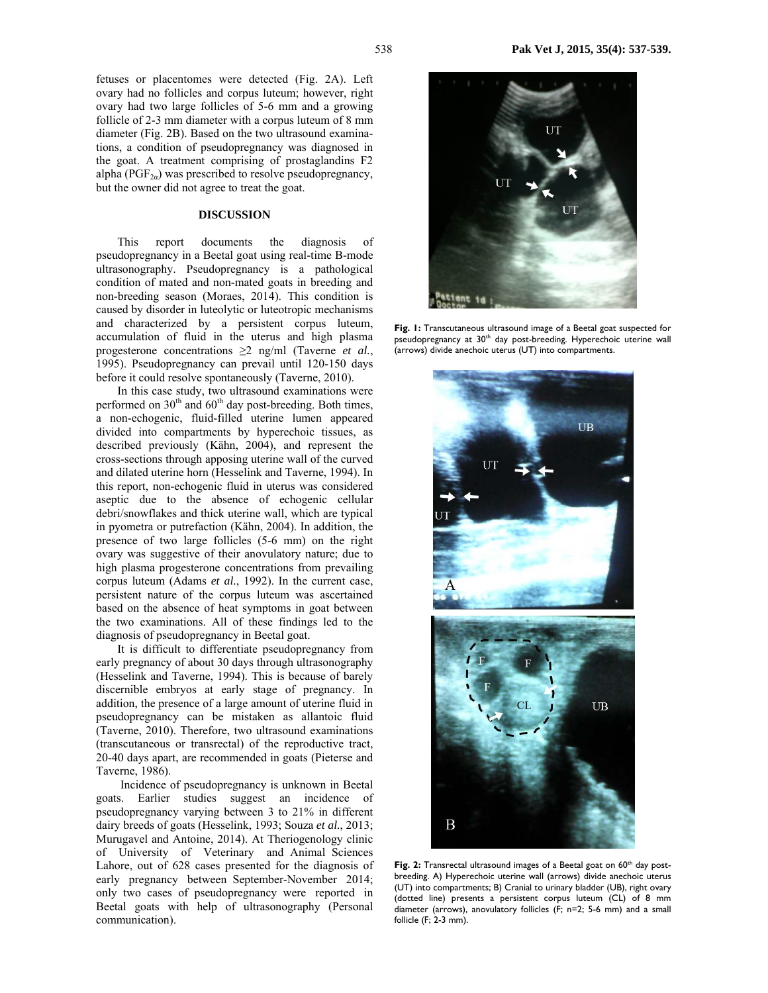fetuses or placentomes were detected (Fig. 2A). Left ovary had no follicles and corpus luteum; however, right ovary had two large follicles of 5-6 mm and a growing follicle of 2-3 mm diameter with a corpus luteum of 8 mm diameter (Fig. 2B). Based on the two ultrasound examinations, a condition of pseudopregnancy was diagnosed in the goat. A treatment comprising of prostaglandins F2 alpha ( $PGF_{2\alpha}$ ) was prescribed to resolve pseudopregnancy, but the owner did not agree to treat the goat.

#### **DISCUSSION**

This report documents the diagnosis of pseudopregnancy in a Beetal goat using real-time B-mode ultrasonography. Pseudopregnancy is a pathological condition of mated and non-mated goats in breeding and non-breeding season (Moraes, 2014). This condition is caused by disorder in luteolytic or luteotropic mechanisms and characterized by a persistent corpus luteum, accumulation of fluid in the uterus and high plasma progesterone concentrations ≥2 ng/ml (Taverne *et al.*, 1995). Pseudopregnancy can prevail until 120-150 days before it could resolve spontaneously (Taverne, 2010).

In this case study, two ultrasound examinations were performed on  $30<sup>th</sup>$  and  $60<sup>th</sup>$  day post-breeding. Both times, a non-echogenic, fluid-filled uterine lumen appeared divided into compartments by hyperechoic tissues, as described previously (Kähn, 2004), and represent the cross-sections through apposing uterine wall of the curved and dilated uterine horn (Hesselink and Taverne, 1994). In this report, non-echogenic fluid in uterus was considered aseptic due to the absence of echogenic cellular debri/snowflakes and thick uterine wall, which are typical in pyometra or putrefaction (Kähn, 2004). In addition, the presence of two large follicles (5-6 mm) on the right ovary was suggestive of their anovulatory nature; due to high plasma progesterone concentrations from prevailing corpus luteum (Adams *et al.*, 1992). In the current case, persistent nature of the corpus luteum was ascertained based on the absence of heat symptoms in goat between the two examinations. All of these findings led to the diagnosis of pseudopregnancy in Beetal goat.

It is difficult to differentiate pseudopregnancy from early pregnancy of about 30 days through ultrasonography (Hesselink and Taverne, 1994). This is because of barely discernible embryos at early stage of pregnancy. In addition, the presence of a large amount of uterine fluid in pseudopregnancy can be mistaken as allantoic fluid (Taverne, 2010). Therefore, two ultrasound examinations (transcutaneous or transrectal) of the reproductive tract, 20-40 days apart, are recommended in goats (Pieterse and Taverne, 1986).

 Incidence of pseudopregnancy is unknown in Beetal goats. Earlier studies suggest an incidence of pseudopregnancy varying between 3 to 21% in different dairy breeds of goats (Hesselink, 1993; Souza *et al.*, 2013; Murugavel and Antoine, 2014). At Theriogenology clinic of University of Veterinary and Animal Sciences Lahore, out of 628 cases presented for the diagnosis of early pregnancy between September-November 2014; only two cases of pseudopregnancy were reported in Beetal goats with help of ultrasonography (Personal communication).



**Fig. 1:** Transcutaneous ultrasound image of a Beetal goat suspected for pseudopregnancy at 30<sup>th</sup> day post-breeding. Hyperechoic uterine wall (arrows) divide anechoic uterus (UT) into compartments.



Fig. 2: Transrectal ultrasound images of a Beetal goat on 60<sup>th</sup> day postbreeding. A) Hyperechoic uterine wall (arrows) divide anechoic uterus (UT) into compartments; B) Cranial to urinary bladder (UB), right ovary (dotted line) presents a persistent corpus luteum (CL) of 8 mm diameter (arrows), anovulatory follicles (F; n=2; 5-6 mm) and a small follicle (F; 2-3 mm).